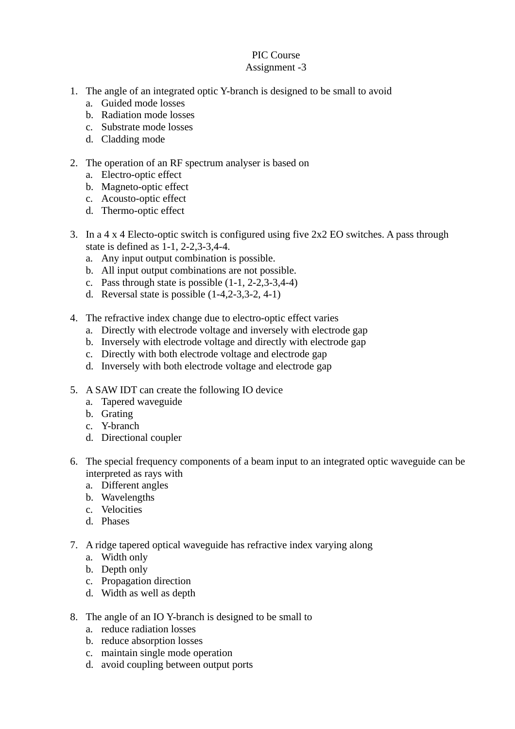## PIC Course Assignment -3

## 1. The angle of an integrated optic Y-branch is designed to be small to avoid

- a. Guided mode losses
- b. Radiation mode losses
- c. Substrate mode losses
- d. Cladding mode

## 2. The operation of an RF spectrum analyser is based on

- a. Electro-optic effect
- b. Magneto-optic effect
- c. Acousto-optic effect
- d. Thermo-optic effect
- 3. In a 4 x 4 Electo-optic switch is configured using five 2x2 EO switches. A pass through state is defined as 1-1, 2-2,3-3,4-4.
	- a. Any input output combination is possible.
	- b. All input output combinations are not possible.
	- c. Pass through state is possible (1-1, 2-2,3-3,4-4)
	- d. Reversal state is possible (1-4,2-3,3-2, 4-1)
- 4. The refractive index change due to electro-optic effect varies
	- a. Directly with electrode voltage and inversely with electrode gap
	- b. Inversely with electrode voltage and directly with electrode gap
	- c. Directly with both electrode voltage and electrode gap
	- d. Inversely with both electrode voltage and electrode gap
- 5. A SAW IDT can create the following IO device
	- a. Tapered waveguide
	- b. Grating
	- c. Y-branch
	- d. Directional coupler
- 6. The special frequency components of a beam input to an integrated optic waveguide can be interpreted as rays with
	- a. Different angles
	- b. Wavelengths
	- c. Velocities
	- d. Phases
- 7. A ridge tapered optical waveguide has refractive index varying along
	- a. Width only
	- b. Depth only
	- c. Propagation direction
	- d. Width as well as depth
- 8. The angle of an IO Y-branch is designed to be small to
	- a. reduce radiation losses
	- b. reduce absorption losses
	- c. maintain single mode operation
	- d. avoid coupling between output ports